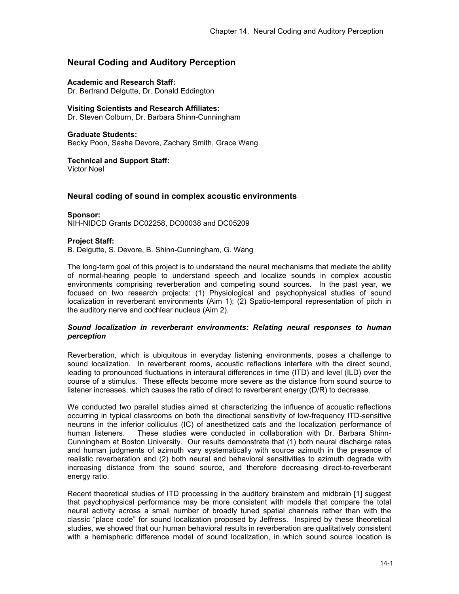# **Neural Coding and Auditory Perception**

## **Academic and Research Staff:**

Dr. Bertrand Delgutte, Dr. Donald Eddington

### **Visiting Scientists and Research Affiliates:**

Dr. Steven Colburn, Dr. Barbara Shinn-Cunningham

### **Graduate Students:**

Becky Poon, Sasha Devore, Zachary Smith, Grace Wang

### **Technical and Support Staff:**

Victor Noel

## **Neural coding of sound in complex acoustic environments**

# **Sponsor:**

NIH-NIDCD Grants DC02258, DC00038 and DC05209

### **Project Staff:**

B. Delgutte, S. Devore, B. Shinn-Cunningham, G. Wang

The long-term goal of this project is to understand the neural mechanisms that mediate the ability of normal-hearing people to understand speech and localize sounds in complex acoustic environments comprising reverberation and competing sound sources. In the past year, we focused on two research projects: (1) Physiological and psychophysical studies of sound localization in reverberant environments (Aim 1); (2) Spatio-temporal representation of pitch in the auditory nerve and cochlear nucleus (Aim 2).

## *Sound localization in reverberant environments: Relating neural responses to human perception*

Reverberation, which is ubiquitous in everyday listening environments, poses a challenge to sound localization. In reverberant rooms, acoustic reflections interfere with the direct sound, leading to pronounced fluctuations in interaural differences in time (ITD) and level (ILD) over the course of a stimulus. These effects become more severe as the distance from sound source to listener increases, which causes the ratio of direct to reverberant energy (D/R) to decrease.

We conducted two parallel studies aimed at characterizing the influence of acoustic reflections occurring in typical classrooms on both the directional sensitivity of low-frequency ITD-sensitive neurons in the inferior colliculus (IC) of anesthetized cats and the localization performance of human listeners. These studies were conducted in collaboration with Dr. Barbara Shinn-Cunningham at Boston University. Our results demonstrate that (1) both neural discharge rates and human judgments of azimuth vary systematically with source azimuth in the presence of realistic reverberation and (2) both neural and behavioral sensitivities to azimuth degrade with increasing distance from the sound source, and therefore decreasing direct-to-reverberant energy ratio.

Recent theoretical studies of ITD processing in the auditory brainstem and midbrain [1] suggest that psychophysical performance may be more consistent with models that compare the total neural activity across a small number of broadly tuned spatial channels rather than with the classic "place code" for sound localization proposed by Jeffress. Inspired by these theoretical studies, we showed that our human behavioral results in reverberation are qualitatively consistent with a hemispheric difference model of sound localization, in which sound source location is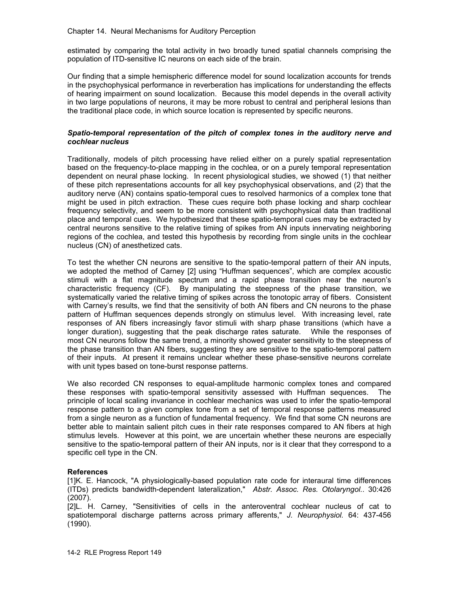Chapter 14. Neural Mechanisms for Auditory Perception

estimated by comparing the total activity in two broadly tuned spatial channels comprising the population of ITD-sensitive IC neurons on each side of the brain.

Our finding that a simple hemispheric difference model for sound localization accounts for trends in the psychophysical performance in reverberation has implications for understanding the effects of hearing impairment on sound localization. Because this model depends in the overall activity in two large populations of neurons, it may be more robust to central and peripheral lesions than the traditional place code, in which source location is represented by specific neurons.

## *Spatio-temporal representation of the pitch of complex tones in the auditory nerve and cochlear nucleus*

Traditionally, models of pitch processing have relied either on a purely spatial representation based on the frequency-to-place mapping in the cochlea, or on a purely temporal representation dependent on neural phase locking. In recent physiological studies, we showed (1) that neither of these pitch representations accounts for all key psychophysical observations, and (2) that the auditory nerve (AN) contains spatio-temporal cues to resolved harmonics of a complex tone that might be used in pitch extraction. These cues require both phase locking and sharp cochlear frequency selectivity, and seem to be more consistent with psychophysical data than traditional place and temporal cues. We hypothesized that these spatio-temporal cues may be extracted by central neurons sensitive to the relative timing of spikes from AN inputs innervating neighboring regions of the cochlea, and tested this hypothesis by recording from single units in the cochlear nucleus (CN) of anesthetized cats.

To test the whether CN neurons are sensitive to the spatio-temporal pattern of their AN inputs, we adopted the method of Carney [2] using "Huffman sequences", which are complex acoustic stimuli with a flat magnitude spectrum and a rapid phase transition near the neuron's characteristic frequency (CF). By manipulating the steepness of the phase transition, we systematically varied the relative timing of spikes across the tonotopic array of fibers. Consistent with Carney's results, we find that the sensitivity of both AN fibers and CN neurons to the phase pattern of Huffman sequences depends strongly on stimulus level. With increasing level, rate responses of AN fibers increasingly favor stimuli with sharp phase transitions (which have a longer duration), suggesting that the peak discharge rates saturate. While the responses of most CN neurons follow the same trend, a minority showed greater sensitivity to the steepness of the phase transition than AN fibers, suggesting they are sensitive to the spatio-temporal pattern of their inputs. At present it remains unclear whether these phase-sensitive neurons correlate with unit types based on tone-burst response patterns.

We also recorded CN responses to equal-amplitude harmonic complex tones and compared these responses with spatio-temporal sensitivity assessed with Huffman sequences. The principle of local scaling invariance in cochlear mechanics was used to infer the spatio-temporal response pattern to a given complex tone from a set of temporal response patterns measured from a single neuron as a function of fundamental frequency. We find that some CN neurons are better able to maintain salient pitch cues in their rate responses compared to AN fibers at high stimulus levels. However at this point, we are uncertain whether these neurons are especially sensitive to the spatio-temporal pattern of their AN inputs, nor is it clear that they correspond to a specific cell type in the CN.

## **References**

[1]K. E. Hancock, "A physiologically-based population rate code for interaural time differences (ITDs) predicts bandwidth-dependent lateralization," *Abstr. Assoc. Res. Otolaryngol.*. 30:426 (2007).

[2]L. H. Carney, "Sensitivities of cells in the anteroventral cochlear nucleus of cat to spatiotemporal discharge patterns across primary afferents," *J. Neurophysiol.* 64: 437-456 (1990).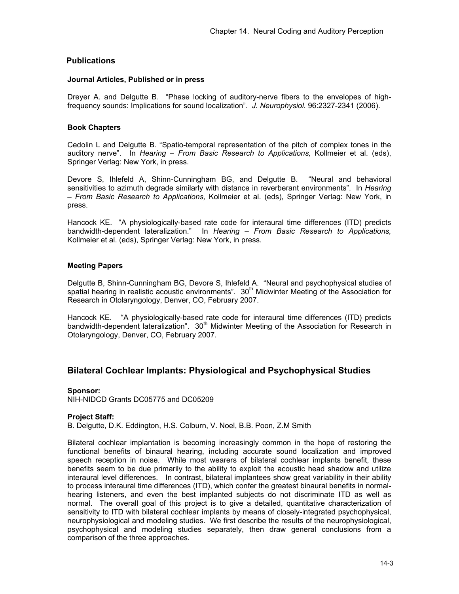## **Publications**

## **Journal Articles, Published or in press**

Dreyer A. and Delgutte B. "Phase locking of auditory-nerve fibers to the envelopes of highfrequency sounds: Implications for sound localization". *J. Neurophysiol.* 96:2327-2341 (2006).

## **Book Chapters**

Cedolin L and Delgutte B. "Spatio-temporal representation of the pitch of complex tones in the auditory nerve". In *Hearing – From Basic Research to Applications,* Kollmeier et al. (eds), Springer Verlag: New York, in press.

Devore S, Ihlefeld A, Shinn-Cunningham BG, and Delgutte B. "Neural and behavioral sensitivities to azimuth degrade similarly with distance in reverberant environments". In *Hearing – From Basic Research to Applications,* Kollmeier et al. (eds), Springer Verlag: New York, in press.

Hancock KE. "A physiologically-based rate code for interaural time differences (ITD) predicts bandwidth-dependent lateralization." In *Hearing – From Basic Research to Applications,* Kollmeier et al. (eds), Springer Verlag: New York, in press.

### **Meeting Papers**

Delgutte B, Shinn-Cunningham BG, Devore S, Ihlefeld A. "Neural and psychophysical studies of spatial hearing in realistic acoustic environments".  $30<sup>th</sup>$  Midwinter Meeting of the Association for Research in Otolaryngology, Denver, CO, February 2007.

Hancock KE. "A physiologically-based rate code for interaural time differences (ITD) predicts bandwidth-dependent lateralization". 30<sup>th</sup> Midwinter Meeting of the Association for Research in Otolaryngology, Denver, CO, February 2007.

# **Bilateral Cochlear Implants: Physiological and Psychophysical Studies**

### **Sponsor:**

NIH-NIDCD Grants DC05775 and DC05209

## **Project Staff:**

B. Delgutte, D.K. Eddington, H.S. Colburn, V. Noel, B.B. Poon, Z.M Smith

Bilateral cochlear implantation is becoming increasingly common in the hope of restoring the functional benefits of binaural hearing, including accurate sound localization and improved speech reception in noise. While most wearers of bilateral cochlear implants benefit, these benefits seem to be due primarily to the ability to exploit the acoustic head shadow and utilize interaural level differences. In contrast, bilateral implantees show great variability in their ability to process interaural time differences (ITD), which confer the greatest binaural benefits in normalhearing listeners, and even the best implanted subjects do not discriminate ITD as well as normal. The overall goal of this project is to give a detailed, quantitative characterization of sensitivity to ITD with bilateral cochlear implants by means of closely-integrated psychophysical, neurophysiological and modeling studies. We first describe the results of the neurophysiological, psychophysical and modeling studies separately, then draw general conclusions from a comparison of the three approaches.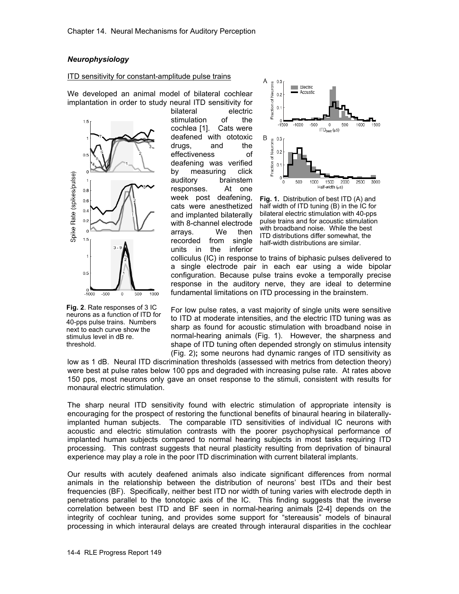## *Neurophysiology*

### ITD sensitivity for constant-amplitude pulse trains

We developed an animal model of bilateral cochlear implantation in order to study neural ITD sensitivity for



**Fig. 2**. Rate responses of 3 IC neurons as a function of ITD for 40-pps pulse trains. Numbers next to each curve show the stimulus level in dB re. threshold.

bilateral electric stimulation of the cochlea [1]. Cats were deafened with ototoxic drugs, and the effectiveness of deafening was verified by measuring click auditory brainstem responses. At one week post deafening, cats were anesthetized and implanted bilaterally with 8-channel electrode arrays. We then recorded from single units in the inferior



**Fig. 1.** Distribution of best ITD (A) and half width of ITD tuning (B) in the IC for bilateral electric stimulation with 40-pps pulse trains and for acoustic stimulation with broadband noise. While the best ITD distributions differ somewhat, the half-width distributions are similar.

colliculus (IC) in response to trains of biphasic pulses delivered to a single electrode pair in each ear using a wide bipolar configuration. Because pulse trains evoke a temporally precise response in the auditory nerve, they are ideal to determine fundamental limitations on ITD processing in the brainstem.

For low pulse rates, a vast majority of single units were sensitive to ITD at moderate intensities, and the electric ITD tuning was as sharp as found for acoustic stimulation with broadband noise in normal-hearing animals (Fig. 1). However, the sharpness and shape of ITD tuning often depended strongly on stimulus intensity (Fig. 2)**;** some neurons had dynamic ranges of ITD sensitivity as

low as 1 dB. Neural ITD discrimination thresholds (assessed with metrics from detection theory) were best at pulse rates below 100 pps and degraded with increasing pulse rate. At rates above 150 pps, most neurons only gave an onset response to the stimuli, consistent with results for monaural electric stimulation.

The sharp neural ITD sensitivity found with electric stimulation of appropriate intensity is encouraging for the prospect of restoring the functional benefits of binaural hearing in bilaterallyimplanted human subjects. The comparable ITD sensitivities of individual IC neurons with acoustic and electric stimulation contrasts with the poorer psychophysical performance of implanted human subjects compared to normal hearing subjects in most tasks requiring ITD processing. This contrast suggests that neural plasticity resulting from deprivation of binaural experience may play a role in the poor ITD discrimination with current bilateral implants.

Our results with acutely deafened animals also indicate significant differences from normal animals in the relationship between the distribution of neurons' best ITDs and their best frequencies (BF). Specifically, neither best ITD nor width of tuning varies with electrode depth in penetrations parallel to the tonotopic axis of the IC. This finding suggests that the inverse correlation between best ITD and BF seen in normal-hearing animals [2-4] depends on the integrity of cochlear tuning, and provides some support for "stereausis" models of binaural processing in which interaural delays are created through interaural disparities in the cochlear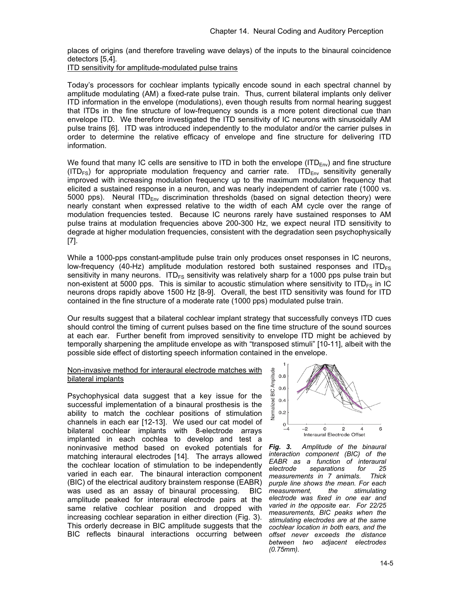places of origins (and therefore traveling wave delays) of the inputs to the binaural coincidence detectors [5,4].

## ITD sensitivity for amplitude-modulated pulse trains

Today's processors for cochlear implants typically encode sound in each spectral channel by amplitude modulating (AM) a fixed-rate pulse train. Thus, current bilateral implants only deliver ITD information in the envelope (modulations), even though results from normal hearing suggest that ITDs in the fine structure of low-frequency sounds is a more potent directional cue than envelope ITD. We therefore investigated the ITD sensitivity of IC neurons with sinusoidally AM pulse trains [6]. ITD was introduced independently to the modulator and/or the carrier pulses in order to determine the relative efficacy of envelope and fine structure for delivering ITD information.

We found that many IC cells are sensitive to ITD in both the envelope (ITD $_{\text{Env}}$ ) and fine structure (ITD<sub>FS</sub>) for appropriate modulation frequency and carrier rate. ITD<sub>Env</sub> sensitivity generally improved with increasing modulation frequency up to the maximum modulation frequency that elicited a sustained response in a neuron, and was nearly independent of carrier rate (1000 vs. 5000 pps). Neural  $ID_{Env}$  discrimination thresholds (based on signal detection theory) were nearly constant when expressed relative to the width of each AM cycle over the range of modulation frequencies tested. Because IC neurons rarely have sustained responses to AM pulse trains at modulation frequencies above 200-300 Hz, we expect neural ITD sensitivity to degrade at higher modulation frequencies, consistent with the degradation seen psychophysically [7].

While a 1000-pps constant-amplitude pulse train only produces onset responses in IC neurons, low-frequency (40-Hz) amplitude modulation restored both sustained responses and  $ITD<sub>FS</sub>$ sensitivity in many neurons. ITD $_{ES}$  sensitivity was relatively sharp for a 1000 pps pulse train but non-existent at 5000 pps. This is similar to acoustic stimulation where sensitivity to  $\text{ID}_{FS}$  in IC neurons drops rapidly above 1500 Hz [8-9]. Overall, the best ITD sensitivity was found for ITD contained in the fine structure of a moderate rate (1000 pps) modulated pulse train.

Our results suggest that a bilateral cochlear implant strategy that successfully conveys ITD cues should control the timing of current pulses based on the fine time structure of the sound sources at each ear. Further benefit from improved sensitivity to envelope ITD might be achieved by temporally sharpening the amplitude envelope as with "transposed stimuli" [10-11], albeit with the possible side effect of distorting speech information contained in the envelope.

### Non-invasive method for interaural electrode matches with bilateral implants

Psychophysical data suggest that a key issue for the successful implementation of a binaural prosthesis is the ability to match the cochlear positions of stimulation channels in each ear [12-13]. We used our cat model of bilateral cochlear implants with 8-electrode arrays implanted in each cochlea to develop and test a noninvasive method based on evoked potentials for matching interaural electrodes [14]. The arrays allowed the cochlear location of stimulation to be independently varied in each ear. The binaural interaction component (BIC) of the electrical auditory brainstem response (EABR) was used as an assay of binaural processing. BIC amplitude peaked for interaural electrode pairs at the same relative cochlear position and dropped with increasing cochlear separation in either direction (Fig. 3). This orderly decrease in BIC amplitude suggests that the BIC reflects binaural interactions occurring between



*Fig. 3. Amplitude of the binaural interaction component (BIC) of the EABR as a function of interaural electrode separations for 25 measurements in 7 animals. Thick purple line shows the mean. For each measurement, the stimulating electrode was fixed in one ear and varied in the opposite ear. For 22/25 measurements, BIC peaks when the stimulating electrodes are at the same cochlear location in both ears, and the offset never exceeds the distance between two adjacent electrodes (0.75mm).*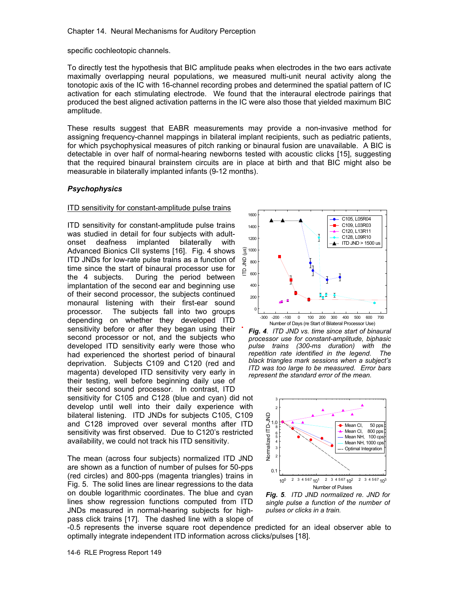specific cochleotopic channels.

To directly test the hypothesis that BIC amplitude peaks when electrodes in the two ears activate maximally overlapping neural populations, we measured multi-unit neural activity along the tonotopic axis of the IC with 16-channel recording probes and determined the spatial pattern of IC activation for each stimulating electrode. We found that the interaural electrode pairings that produced the best aligned activation patterns in the IC were also those that yielded maximum BIC amplitude.

These results suggest that EABR measurements may provide a non-invasive method for assigning frequency-channel mappings in bilateral implant recipients, such as pediatric patients, for which psychophysical measures of pitch ranking or binaural fusion are unavailable. A BIC is detectable in over half of normal-hearing newborns tested with acoustic clicks [15], suggesting that the required binaural brainstem circuits are in place at birth and that BIC might also be measurable in bilaterally implanted infants (9-12 months).

### *Psychophysics*

#### ITD sensitivity for constant-amplitude pulse trains

ITD sensitivity for constant-amplitude pulse trains was studied in detail for four subjects with adultonset deafness implanted bilaterally with Advanced Bionics CII systems [16]. Fig. 4 shows ITD JNDs for low-rate pulse trains as a function of time since the start of binaural processor use for the 4 subjects. During the period between implantation of the second ear and beginning use of their second processor, the subjects continued monaural listening with their first-ear sound processor. The subjects fall into two groups depending on whether they developed ITD sensitivity before or after they began using their second processor or not, and the subjects who developed ITD sensitivity early were those who had experienced the shortest period of binaural deprivation. Subjects C109 and C120 (red and magenta) developed ITD sensitivity very early in their testing, well before beginning daily use of their second sound processor. In contrast, ITD sensitivity for C105 and C128 (blue and cyan) did not develop until well into their daily experience with bilateral listening. ITD JNDs for subjects C105, C109 and C128 improved over several months after ITD sensitivity was first observed. Due to C120's restricted availability, we could not track his ITD sensitivity.

The mean (across four subjects) normalized ITD JND are shown as a function of number of pulses for 50-pps (red circles) and 800-pps (magenta triangles) trains in Fig. 5. The solid lines are linear regressions to the data on double logarithmic coordinates. The blue and cyan lines show regression functions computed from ITD JNDs measured in normal-hearing subjects for highpass click trains [17]. The dashed line with a slope of



*Fig. 4. ITD JND vs. time since start of binaural processor use for constant-amplitude, biphasic pulse trains (300-ms duration) with the repetition rate identified in the legend. The black triangles mark sessions when a subject's ITD was too large to be measured. Error bars represent the standard error of the mean.* 



*Fig. 5. ITD JND normalized re. JND for single pulse a function of the number of pulses or clicks in a train.* 

-0.5 represents the inverse square root dependence predicted for an ideal observer able to optimally integrate independent ITD information across clicks/pulses [18].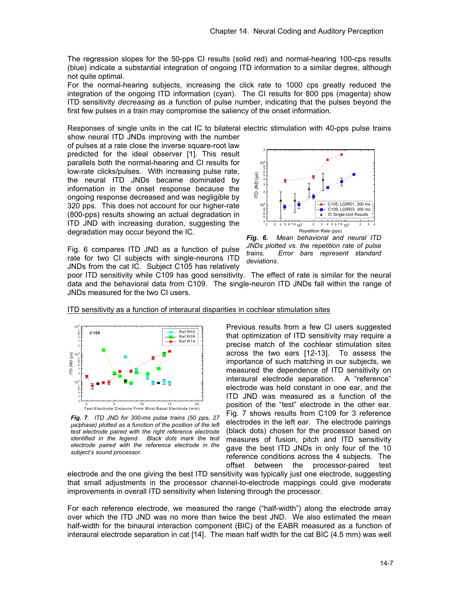The regression slopes for the 50-pps CI results (solid red) and normal-hearing 100-cps results (blue) indicate a substantial integration of ongoing ITD information to a similar degree, although not quite optimal.

For the normal-hearing subjects, increasing the click rate to 1000 cps greatly reduced the integration of the ongoing ITD information (cyan). The CI results for 800 pps (magenta) show ITD sensitivity *decreasing* as a function of pulse number, indicating that the pulses beyond the first few pulses in a train may compromise the saliency of the onset information.

Responses of single units in the cat IC to bilateral electric stimulation with 40-pps pulse trains show neural ITD JNDs improving with the number

of pulses at a rate close the inverse square-root law predicted for the ideal observer [1]. This result parallels both the normal-hearing and CI results for low-rate clicks/pulses. With increasing pulse rate, the neural ITD JNDs became dominated by information in the onset response because the ongoing response decreased and was negligible by 320 pps. This does not account for our higher-rate (800-pps) results showing an actual degradation in ITD JND with increasing duration, suggesting the degradation may occur beyond the IC.

Fig. 6 compares ITD JND as a function of pulse rate for two CI subjects with single-neurons ITD JNDs from the cat IC. Subject C105 has relatively



*Fig. 6. Mean behavioral and neural ITD JNDs plotted vs. the repetition rate of pulse trains. Error bars represent standard deviations.* 

poor ITD sensitivity while C109 has good sensitivity. The effect of rate is similar for the neural data and the behavioral data from C109. The single-neuron ITD JNDs fall within the range of JNDs measured for the two CI users.



*Fig. 7. ITD JND for 300-ms pulse trains (50 pps, 27 µs/phase) plotted as a function of the position of the left test electrode paired with the right reference electrode identified in the legend. Black dots mark the test electrode paired with the reference electrode in the subject's sound processor.* 

Previous results from a few CI users suggested that optimization of ITD sensitivity may require a precise match of the cochlear stimulation sites across the two ears [12-13]. To assess the importance of such matching in our subjects, we measured the dependence of ITD sensitivity on interaural electrode separation. A "reference" electrode was held constant in one ear, and the ITD JND was measured as a function of the position of the "test" electrode in the other ear. Fig. 7 shows results from C109 for 3 reference electrodes in the left ear. The electrode pairings (black dots) chosen for the processor based on measures of fusion, pitch and ITD sensitivity gave the best ITD JNDs in only four of the 10 reference conditions across the 4 subjects. The offset between the processor-paired test

electrode and the one giving the best ITD sensitivity was typically just one electrode, suggesting that small adjustments in the processor channel-to-electrode mappings could give moderate improvements in overall ITD sensitivity when listening through the processor.

For each reference electrode, we measured the range ("half-width") along the electrode array over which the ITD JND was no more than twice the best JND. We also estimated the mean half-width for the binaural interaction component (BIC) of the EABR measured as a function of interaural electrode separation in cat [14]. The mean half width for the cat BIC (4.5 mm) was well

### ITD sensitivity as a function of interaural disparities in cochlear stimulation sites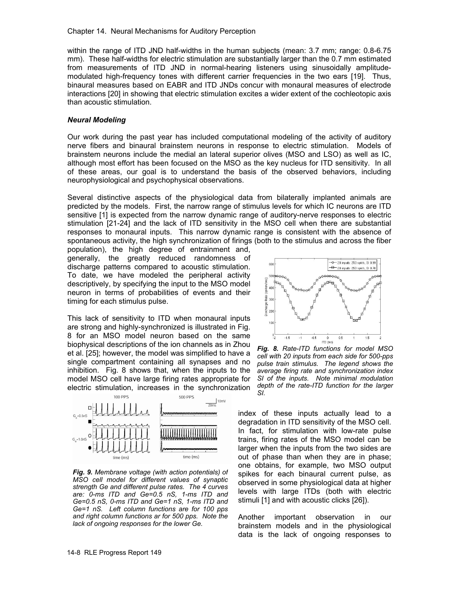### Chapter 14. Neural Mechanisms for Auditory Perception

within the range of ITD JND half-widths in the human subjects (mean: 3.7 mm; range: 0.8-6.75 mm). These half-widths for electric stimulation are substantially larger than the 0.7 mm estimated from measurements of ITD JND in normal-hearing listeners using sinusoidally amplitudemodulated high-frequency tones with different carrier frequencies in the two ears [19]. Thus, binaural measures based on EABR and ITD JNDs concur with monaural measures of electrode interactions [20] in showing that electric stimulation excites a wider extent of the cochleotopic axis than acoustic stimulation.

### *Neural Modeling*

Our work during the past year has included computational modeling of the activity of auditory nerve fibers and binaural brainstem neurons in response to electric stimulation. Models of brainstem neurons include the medial an lateral superior olives (MSO and LSO) as well as IC, although most effort has been focused on the MSO as the key nucleus for ITD sensitivity. In all of these areas, our goal is to understand the basis of the observed behaviors, including neurophysiological and psychophysical observations.

Several distinctive aspects of the physiological data from bilaterally implanted animals are predicted by the models. First, the narrow range of stimulus levels for which IC neurons are ITD sensitive [1] is expected from the narrow dynamic range of auditory-nerve responses to electric stimulation [21-24] and the lack of ITD sensitivity in the MSO cell when there are substantial responses to monaural inputs. This narrow dynamic range is consistent with the absence of spontaneous activity, the high synchronization of firings (both to the stimulus and across the fiber

population), the high degree of entrainment and, generally, the greatly reduced randomness of discharge patterns compared to acoustic stimulation. To date, we have modeled the peripheral activity descriptively, by specifying the input to the MSO model neuron in terms of probabilities of events and their timing for each stimulus pulse.

This lack of sensitivity to ITD when monaural inputs are strong and highly-synchronized is illustrated in Fig. 8 for an MSO model neuron based on the same biophysical descriptions of the ion channels as in Zhou et al. [25]; however, the model was simplified to have a single compartment containing all synapses and no inhibition. Fig. 8 shows that, when the inputs to the model MSO cell have large firing rates appropriate for electric stimulation, increases in the synchronization



*Fig. 9. Membrane voltage (with action potentials) of MSO cell model for different values of synaptic strength Ge and different pulse rates. The 4 curves are: 0-ms ITD and Ge=0.5 nS, 1-ms ITD and Ge=0.5 nS, 0-ms ITD and Ge=1 nS, 1-ms ITD and Ge=1 nS. Left column functions are for 100 pps and right column functions ar for 500 pps. Note the lack of ongoing responses for the lower Ge.* 



*Fig. 8. Rate-ITD functions for model MSO cell with 20 inputs from each side for 500-pps pulse train stimulus. The legend shows the average firing rate and synchronization index SI of the inputs. Note minimal modulation depth of the rate-ITD function for the larger SI.*

index of these inputs actually lead to a degradation in ITD sensitivity of the MSO cell. In fact, for stimulation with low-rate pulse trains, firing rates of the MSO model can be larger when the inputs from the two sides are out of phase than when they are in phase; one obtains, for example, two MSO output spikes for each binaural current pulse, as observed in some physiological data at higher levels with large ITDs (both with electric stimuli [1] and with acoustic clicks [26]).

Another important observation in our brainstem models and in the physiological data is the lack of ongoing responses to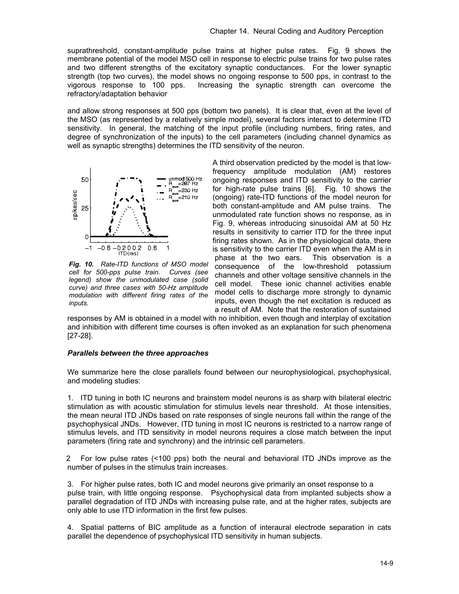suprathreshold, constant-amplitude pulse trains at higher pulse rates. Fig. 9 shows the membrane potential of the model MSO cell in response to electric pulse trains for two pulse rates and two different strengths of the excitatory synaptic conductances. For the lower synaptic strength (top two curves), the model shows no ongoing response to 500 pps, in contrast to the vigorous response to 100 pps. Increasing the synaptic strength can overcome the refractory/adaptation behavior

and allow strong responses at 500 pps (bottom two panels). It is clear that, even at the level of the MSO (as represented by a relatively simple model), several factors interact to determine ITD sensitivity. In general, the matching of the input profile (including numbers, firing rates, and degree of synchronization of the inputs) to the cell parameters (including channel dynamics as well as synaptic strengths) determines the ITD sensitivity of the neuron.



*Fig. 10. Rate-ITD functions of MSO model cell for 500-pps pulse train. Curves (see legend) show the unmodulated case (solid curve) and three cases with 50-Hz amplitude modulation with different firing rates of the inputs.* 

A third observation predicted by the model is that lowfrequency amplitude modulation (AM) restores ongoing responses and ITD sensitivity to the carrier for high-rate pulse trains [6]. Fig. 10 shows the (ongoing) rate-ITD functions of the model neuron for both constant-amplitude and AM pulse trains. The unmodulated rate function shows no response, as in Fig. 9, whereas introducing sinusoidal AM at 50 Hz results in sensitivity to carrier ITD for the three input firing rates shown. As in the physiological data, there is sensitivity to the carrier ITD even when the AM is in phase at the two ears. This observation is a consequence of the low-threshold potassium channels and other voltage sensitive channels in the cell model. These ionic channel activities enable model cells to discharge more strongly to dynamic inputs, even though the net excitation is reduced as a result of AM. Note that the restoration of sustained

responses by AM is obtained in a model with no inhibition, even though and interplay of excitation and inhibition with different time courses is often invoked as an explanation for such phenomena [27-28].

## *Parallels between the three approaches*

We summarize here the close parallels found between our neurophysiological, psychophysical, and modeling studies:

1. ITD tuning in both IC neurons and brainstem model neurons is as sharp with bilateral electric stimulation as with acoustic stimulation for stimulus levels near threshold. At those intensities, the mean neural ITD JNDs based on rate responses of single neurons fall within the range of the psychophysical JNDs. However, ITD tuning in most IC neurons is restricted to a narrow range of stimulus levels, and ITD sensitivity in model neurons requires a close match between the input parameters (firing rate and synchrony) and the intrinsic cell parameters.

 2 For low pulse rates (<100 pps) both the neural and behavioral ITD JNDs improve as the number of pulses in the stimulus train increases.

3. For higher pulse rates, both IC and model neurons give primarily an onset response to a pulse train, with little ongoing response. Psychophysical data from implanted subjects show a parallel degradation of ITD JNDs with increasing pulse rate, and at the higher rates, subjects are only able to use ITD information in the first few pulses.

4. Spatial patterns of BIC amplitude as a function of interaural electrode separation in cats parallel the dependence of psychophysical ITD sensitivity in human subjects.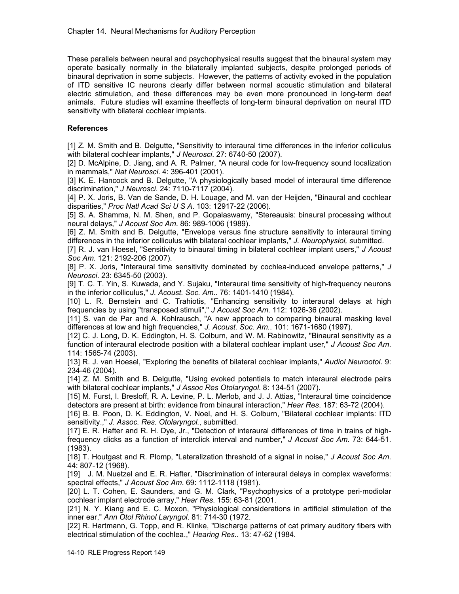These parallels between neural and psychophysical results suggest that the binaural system may operate basically normally in the bilaterally implanted subjects, despite prolonged periods of binaural deprivation in some subjects. However, the patterns of activity evoked in the population of ITD sensitive IC neurons clearly differ between normal acoustic stimulation and bilateral electric stimulation, and these differences may be even more pronounced in long-term deaf animals. Future studies will examine theeffects of long-term binaural deprivation on neural ITD sensitivity with bilateral cochlear implants.

## **References**

[1] Z. M. Smith and B. Delgutte, "Sensitivity to interaural time differences in the inferior colliculus with bilateral cochlear implants," *J Neurosci*. 27: 6740-50 (2007).

[2] D. McAlpine, D. Jiang, and A. R. Palmer, "A neural code for low-frequency sound localization in mammals," *Nat Neurosci*. 4: 396-401 (2001).

[3] K. E. Hancock and B. Delgutte, "A physiologically based model of interaural time difference discrimination," *J Neurosci*. 24: 7110-7117 (2004).

[4] P. X. Joris, B. Van de Sande, D. H. Louage, and M. van der Heijden, "Binaural and cochlear disparities," *Proc Natl Acad Sci U S A*. 103: 12917-22 (2006).

[5] S. A. Shamma, N. M. Shen, and P. Gopalaswamy, "Stereausis: binaural processing without neural delays," *J Acoust Soc Am*. 86: 989-1006 (1989).

[6] Z. M. Smith and B. Delgutte, "Envelope versus fine structure sensitivity to interaural timing differences in the inferior colliculus with bilateral cochlear implants," *J. Neurophysiol, s*ubmitted.

[7] R. J. van Hoesel, "Sensitivity to binaural timing in bilateral cochlear implant users," *J Acoust Soc Am*. 121: 2192-206 (2007).

[8] P. X. Joris, "Interaural time sensitivity dominated by cochlea-induced envelope patterns," *J Neurosci*. 23: 6345-50 (2003).

[9] T. C. T. Yin, S. Kuwada, and Y. Sujaku, "Interaural time sensitivity of high-frequency neurons in the inferior colliculus," *J. Acoust. Soc. Am.*. 76: 1401-1410 (1984).

[10] L. R. Bernstein and C. Trahiotis, "Enhancing sensitivity to interaural delays at high frequencies by using "transposed stimuli"," *J Acoust Soc Am*. 112: 1026-36 (2002).

[11] S. van de Par and A. Kohlrausch, "A new approach to comparing binaural masking level differences at low and high frequencies," *J. Acoust. Soc. Am.*. 101: 1671-1680 (1997).

[12] C. J. Long, D. K. Eddington, H. S. Colburn, and W. M. Rabinowitz, "Binaural sensitivity as a function of interaural electrode position with a bilateral cochlear implant user," *J Acoust Soc Am*. 114: 1565-74 (2003).

[13] R. J. van Hoesel, "Exploring the benefits of bilateral cochlear implants," *Audiol Neurootol*. 9: 234-46 (2004).

[14] Z. M. Smith and B. Delgutte, "Using evoked potentials to match interaural electrode pairs with bilateral cochlear implants," *J Assoc Res Otolaryngol*. 8: 134-51 (2007).

[15] M. Furst, I. Bresloff, R. A. Levine, P. L. Merlob, and J. J. Attias, "Interaural time coincidence detectors are present at birth: evidence from binaural interaction," *Hear Res*. 187: 63-72 (2004).

[16] B. B. Poon, D. K. Eddington, V. Noel, and H. S. Colburn, "Bilateral cochlear implants: ITD sensitivity.," *J. Assoc. Res. Otolaryngol.*, submitted.

[17] E. R. Hafter and R. H. Dye, Jr., "Detection of interaural differences of time in trains of highfrequency clicks as a function of interclick interval and number," *J Acoust Soc Am*. 73: 644-51. (1983).

[18] T. Houtgast and R. Plomp, "Lateralization threshold of a signal in noise," *J Acoust Soc Am*. 44: 807-12 (1968).

[19] J. M. Nuetzel and E. R. Hafter, "Discrimination of interaural delays in complex waveforms: spectral effects," *J Acoust Soc Am*. 69: 1112-1118 (1981).

[20] L. T. Cohen, E. Saunders, and G. M. Clark, "Psychophysics of a prototype peri-modiolar cochlear implant electrode array," *Hear Res*. 155: 63-81 (2001.

[21] N. Y. Kiang and E. C. Moxon, "Physiological considerations in artificial stimulation of the inner ear," *Ann Otol Rhinol Laryngol*. 81: 714-30 (1972.

[22] R. Hartmann, G. Topp, and R. Klinke, "Discharge patterns of cat primary auditory fibers with electrical stimulation of the cochlea.," *Hearing Res.*. 13: 47-62 (1984.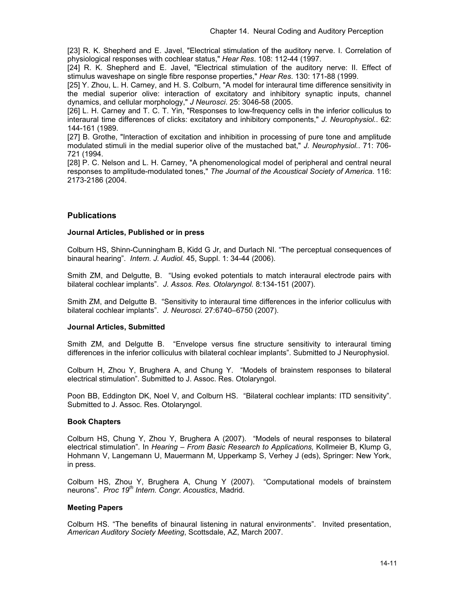[23] R. K. Shepherd and E. Javel, "Electrical stimulation of the auditory nerve. I. Correlation of physiological responses with cochlear status," *Hear Res*. 108: 112-44 (1997.

[24] R. K. Shepherd and E. Javel, "Electrical stimulation of the auditory nerve: II. Effect of stimulus waveshape on single fibre response properties," *Hear Res*. 130: 171-88 (1999.

[25] Y. Zhou, L. H. Carney, and H. S. Colburn, "A model for interaural time difference sensitivity in the medial superior olive: interaction of excitatory and inhibitory synaptic inputs, channel dynamics, and cellular morphology," *J Neurosci*. 25: 3046-58 (2005.

[26] L. H. Carney and T. C. T. Yin, "Responses to low-frequency cells in the inferior colliculus to interaural time differences of clicks: excitatory and inhibitory components," *J. Neurophysiol.*. 62: 144-161 (1989.

[27] B. Grothe, "Interaction of excitation and inhibition in processing of pure tone and amplitude modulated stimuli in the medial superior olive of the mustached bat," *J. Neurophysiol.*. 71: 706- 721 (1994.

[28] P. C. Nelson and L. H. Carney, "A phenomenological model of peripheral and central neural responses to amplitude-modulated tones," *The Journal of the Acoustical Society of America*. 116: 2173-2186 (2004.

## **Publications**

### **Journal Articles, Published or in press**

Colburn HS, Shinn-Cunningham B, Kidd G Jr, and Durlach NI. "The perceptual consequences of binaural hearing". *Intern. J. Audiol.* 45, Suppl. 1: 34-44 (2006).

Smith ZM, and Delgutte, B. "Using evoked potentials to match interaural electrode pairs with bilateral cochlear implants". *J. Assos. Res. Otolaryngol.* 8:134-151 (2007).

Smith ZM, and Delgutte B. "Sensitivity to interaural time differences in the inferior colliculus with bilateral cochlear implants". *J. Neurosci.* 27:6740–6750 (2007).

### **Journal Articles, Submitted**

Smith ZM, and Delgutte B. "Envelope versus fine structure sensitivity to interaural timing differences in the inferior colliculus with bilateral cochlear implants". Submitted to J Neurophysiol.

Colburn H, Zhou Y, Brughera A, and Chung Y. "Models of brainstem responses to bilateral electrical stimulation". Submitted to J. Assoc. Res. Otolaryngol.

Poon BB, Eddington DK, Noel V, and Colburn HS. "Bilateral cochlear implants: ITD sensitivity". Submitted to J. Assoc. Res. Otolaryngol.

### **Book Chapters**

Colburn HS, Chung Y, Zhou Y, Brughera A (2007). "Models of neural responses to bilateral electrical stimulation". In *Hearing – From Basic Research to Applications,* Kollmeier B, Klump G, Hohmann V, Langemann U, Mauermann M, Upperkamp S, Verhey J (eds), Springer: New York, in press.

Colburn HS, Zhou Y, Brughera A, Chung Y (2007). "Computational models of brainstem neurons". *Proc 19th Intern. Congr. Acoustics*, Madrid.

## **Meeting Papers**

Colburn HS. "The benefits of binaural listening in natural environments". Invited presentation, *American Auditory Society Meeting*, Scottsdale, AZ, March 2007.